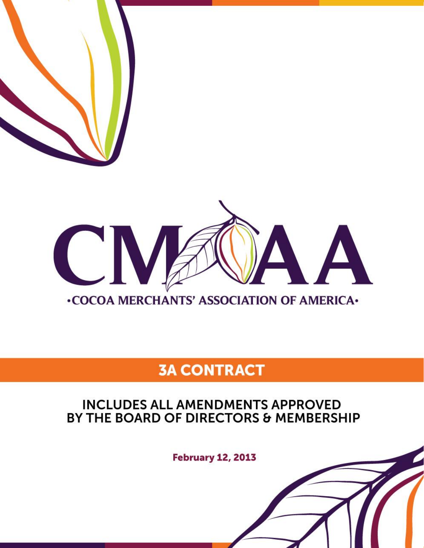

# **3A CONTRACT**

# **INCLUDES ALL AMENDMENTS APPROVED** BY THE BOARD OF DIRECTORS & MEMBERSHIP

**February 12, 2013**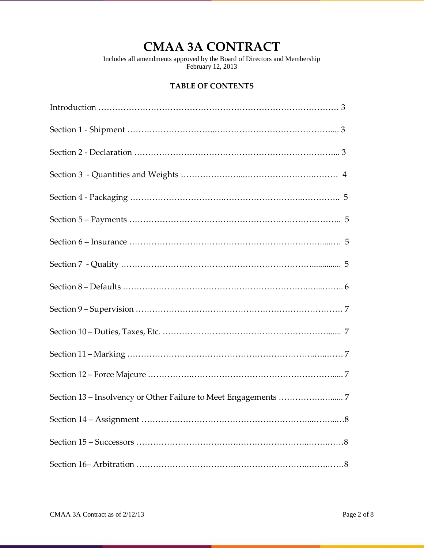# **CMAA 3A CONTRACT**

Includes all amendments approved by the Board of Directors and Membership February 12, 2013

# **TABLE OF CONTENTS**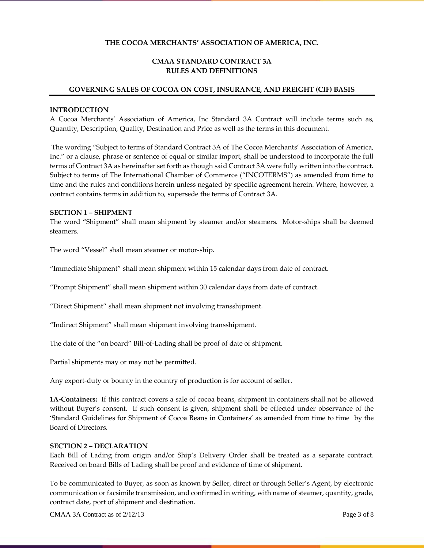# **THE COCOA MERCHANTS' ASSOCIATION OF AMERICA, INC.**

# **CMAA STANDARD CONTRACT 3A RULES AND DEFINITIONS**

#### **GOVERNING SALES OF COCOA ON COST, INSURANCE, AND FREIGHT (CIF) BASIS**

#### **INTRODUCTION**

A Cocoa Merchants' Association of America, Inc Standard 3A Contract will include terms such as, Quantity, Description, Quality, Destination and Price as well as the terms in this document.

The wording "Subject to terms of Standard Contract 3A of The Cocoa Merchants' Association of America, Inc." or a clause, phrase or sentence of equal or similar import, shall be understood to incorporate the full terms of Contract 3A as hereinafter set forth as though said Contract 3A were fully written into the contract. Subject to terms of The International Chamber of Commerce ("INCOTERMS") as amended from time to time and the rules and conditions herein unless negated by specific agreement herein. Where, however, a contract contains terms in addition to, supersede the terms of Contract 3A.

#### **SECTION 1 – SHIPMENT**

The word "Shipment" shall mean shipment by steamer and/or steamers. Motor-ships shall be deemed steamers.

The word "Vessel" shall mean steamer or motor-ship.

"Immediate Shipment" shall mean shipment within 15 calendar days from date of contract.

"Prompt Shipment" shall mean shipment within 30 calendar days from date of contract.

"Direct Shipment" shall mean shipment not involving transshipment.

"Indirect Shipment" shall mean shipment involving transshipment.

The date of the "on board" Bill-of-Lading shall be proof of date of shipment.

Partial shipments may or may not be permitted.

Any export-duty or bounty in the country of production is for account of seller.

**1A-Containers:** If this contract covers a sale of cocoa beans, shipment in containers shall not be allowed without Buyer's consent. If such consent is given, shipment shall be effected under observance of the 'Standard Guidelines for Shipment of Cocoa Beans in Containers' as amended from time to time by the Board of Directors.

#### **SECTION 2 – DECLARATION**

Each Bill of Lading from origin and/or Ship's Delivery Order shall be treated as a separate contract. Received on board Bills of Lading shall be proof and evidence of time of shipment.

To be communicated to Buyer, as soon as known by Seller, direct or through Seller's Agent, by electronic communication or facsimile transmission, and confirmed in writing, with name of steamer, quantity, grade, contract date, port of shipment and destination.

CMAA 3A Contract as of  $2/12/13$  Page 3 of 8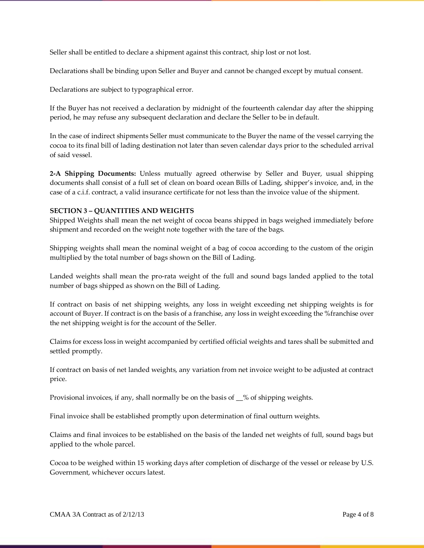Seller shall be entitled to declare a shipment against this contract, ship lost or not lost.

Declarations shall be binding upon Seller and Buyer and cannot be changed except by mutual consent.

Declarations are subject to typographical error.

If the Buyer has not received a declaration by midnight of the fourteenth calendar day after the shipping period, he may refuse any subsequent declaration and declare the Seller to be in default.

In the case of indirect shipments Seller must communicate to the Buyer the name of the vessel carrying the cocoa to its final bill of lading destination not later than seven calendar days prior to the scheduled arrival of said vessel.

**2-A Shipping Documents:** Unless mutually agreed otherwise by Seller and Buyer, usual shipping documents shall consist of a full set of clean on board ocean Bills of Lading, shipper's invoice, and, in the case of a c.i.f. contract, a valid insurance certificate for not less than the invoice value of the shipment.

#### **SECTION 3 – QUANTITIES AND WEIGHTS**

Shipped Weights shall mean the net weight of cocoa beans shipped in bags weighed immediately before shipment and recorded on the weight note together with the tare of the bags.

Shipping weights shall mean the nominal weight of a bag of cocoa according to the custom of the origin multiplied by the total number of bags shown on the Bill of Lading.

Landed weights shall mean the pro-rata weight of the full and sound bags landed applied to the total number of bags shipped as shown on the Bill of Lading.

If contract on basis of net shipping weights, any loss in weight exceeding net shipping weights is for account of Buyer. If contract is on the basis of a franchise, any loss in weight exceeding the %franchise over the net shipping weight is for the account of the Seller.

Claims for excess loss in weight accompanied by certified official weights and tares shall be submitted and settled promptly.

If contract on basis of net landed weights, any variation from net invoice weight to be adjusted at contract price.

Provisional invoices, if any, shall normally be on the basis of \_\_% of shipping weights.

Final invoice shall be established promptly upon determination of final outturn weights.

Claims and final invoices to be established on the basis of the landed net weights of full, sound bags but applied to the whole parcel.

Cocoa to be weighed within 15 working days after completion of discharge of the vessel or release by U.S. Government, whichever occurs latest.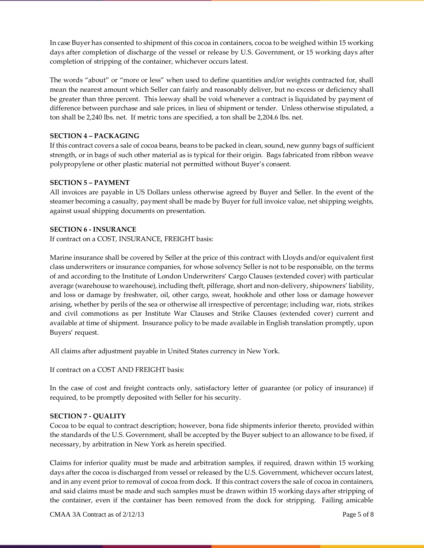In case Buyer has consented to shipment of this cocoa in containers, cocoa to be weighed within 15 working days after completion of discharge of the vessel or release by U.S. Government, or 15 working days after completion of stripping of the container, whichever occurs latest.

The words "about" or "more or less" when used to define quantities and/or weights contracted for, shall mean the nearest amount which Seller can fairly and reasonably deliver, but no excess or deficiency shall be greater than three percent. This leeway shall be void whenever a contract is liquidated by payment of difference between purchase and sale prices, in lieu of shipment or tender. Unless otherwise stipulated, a ton shall be 2,240 lbs. net. If metric tons are specified, a ton shall be 2,204.6 lbs. net.

# **SECTION 4 – PACKAGING**

If this contract covers a sale of cocoa beans, beans to be packed in clean, sound, new gunny bags of sufficient strength, or in bags of such other material as is typical for their origin. Bags fabricated from ribbon weave polypropylene or other plastic material not permitted without Buyer's consent.

# **SECTION 5 – PAYMENT**

All invoices are payable in US Dollars unless otherwise agreed by Buyer and Seller. In the event of the steamer becoming a casualty, payment shall be made by Buyer for full invoice value, net shipping weights, against usual shipping documents on presentation.

#### **SECTION 6 - INSURANCE**

If contract on a COST, INSURANCE, FREIGHT basis:

Marine insurance shall be covered by Seller at the price of this contract with Lloyds and/or equivalent first class underwriters or insurance companies, for whose solvency Seller is not to be responsible, on the terms of and according to the Institute of London Underwriters' Cargo Clauses (extended cover) with particular average (warehouse to warehouse), including theft, pilferage, short and non-delivery, shipowners' liability, and loss or damage by freshwater, oil, other cargo, sweat, hookhole and other loss or damage however arising, whether by perils of the sea or otherwise all irrespective of percentage; including war, riots, strikes and civil commotions as per Institute War Clauses and Strike Clauses (extended cover) current and available at time of shipment. Insurance policy to be made available in English translation promptly, upon Buyers' request.

All claims after adjustment payable in United States currency in New York.

If contract on a COST AND FREIGHT basis:

In the case of cost and freight contracts only, satisfactory letter of guarantee (or policy of insurance) if required, to be promptly deposited with Seller for his security.

#### **SECTION 7 - QUALITY**

Cocoa to be equal to contract description; however, bona fide shipments inferior thereto, provided within the standards of the U.S. Government, shall be accepted by the Buyer subject to an allowance to be fixed, if necessary, by arbitration in New York as herein specified.

Claims for inferior quality must be made and arbitration samples, if required, drawn within 15 working days after the cocoa is discharged from vessel or released by the U.S. Government, whichever occurs latest, and in any event prior to removal of cocoa from dock. If this contract covers the sale of cocoa in containers, and said claims must be made and such samples must be drawn within 15 working days after stripping of the container, even if the container has been removed from the dock for stripping. Failing amicable

CMAA 3A Contract as of  $2/12/13$  Page 5 of 8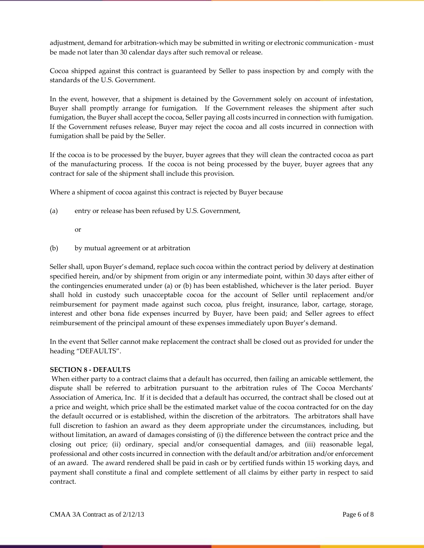adjustment, demand for arbitration-which may be submitted in writing or electronic communication - must be made not later than 30 calendar days after such removal or release.

Cocoa shipped against this contract is guaranteed by Seller to pass inspection by and comply with the standards of the U.S. Government.

In the event, however, that a shipment is detained by the Government solely on account of infestation, Buyer shall promptly arrange for fumigation. If the Government releases the shipment after such fumigation, the Buyer shall accept the cocoa, Seller paying all costs incurred in connection with fumigation. If the Government refuses release, Buyer may reject the cocoa and all costs incurred in connection with fumigation shall be paid by the Seller.

If the cocoa is to be processed by the buyer, buyer agrees that they will clean the contracted cocoa as part of the manufacturing process. If the cocoa is not being processed by the buyer, buyer agrees that any contract for sale of the shipment shall include this provision.

Where a shipment of cocoa against this contract is rejected by Buyer because

- (a) entry or release has been refused by U.S. Government,
	- or
- (b) by mutual agreement or at arbitration

Seller shall, upon Buyer's demand, replace such cocoa within the contract period by delivery at destination specified herein, and/or by shipment from origin or any intermediate point, within 30 days after either of the contingencies enumerated under (a) or (b) has been established, whichever is the later period. Buyer shall hold in custody such unacceptable cocoa for the account of Seller until replacement and/or reimbursement for payment made against such cocoa, plus freight, insurance, labor, cartage, storage, interest and other bona fide expenses incurred by Buyer, have been paid; and Seller agrees to effect reimbursement of the principal amount of these expenses immediately upon Buyer's demand.

In the event that Seller cannot make replacement the contract shall be closed out as provided for under the heading "DEFAULTS".

#### **SECTION 8 - DEFAULTS**

When either party to a contract claims that a default has occurred, then failing an amicable settlement, the dispute shall be referred to arbitration pursuant to the arbitration rules of The Cocoa Merchants' Association of America, Inc. If it is decided that a default has occurred, the contract shall be closed out at a price and weight, which price shall be the estimated market value of the cocoa contracted for on the day the default occurred or is established, within the discretion of the arbitrators. The arbitrators shall have full discretion to fashion an award as they deem appropriate under the circumstances, including, but without limitation, an award of damages consisting of (i) the difference between the contract price and the closing out price; (ii) ordinary, special and/or consequential damages, and (iii) reasonable legal, professional and other costs incurred in connection with the default and/or arbitration and/or enforcement of an award. The award rendered shall be paid in cash or by certified funds within 15 working days, and payment shall constitute a final and complete settlement of all claims by either party in respect to said contract.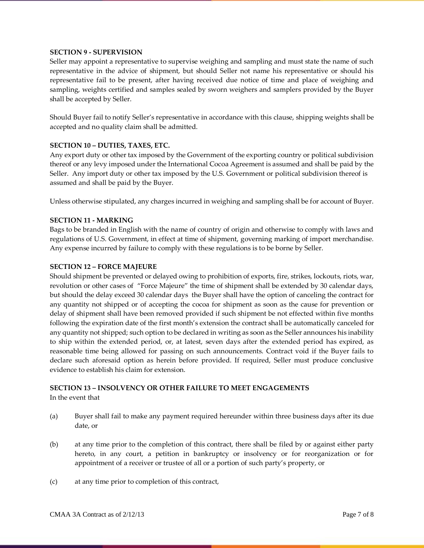#### **SECTION 9 - SUPERVISION**

Seller may appoint a representative to supervise weighing and sampling and must state the name of such representative in the advice of shipment, but should Seller not name his representative or should his representative fail to be present, after having received due notice of time and place of weighing and sampling, weights certified and samples sealed by sworn weighers and samplers provided by the Buyer shall be accepted by Seller.

Should Buyer fail to notify Seller's representative in accordance with this clause, shipping weights shall be accepted and no quality claim shall be admitted.

# **SECTION 10 – DUTIES, TAXES, ETC.**

Any export duty or other tax imposed by the Government of the exporting country or political subdivision thereof or any levy imposed under the International Cocoa Agreement is assumed and shall be paid by the Seller. Any import duty or other tax imposed by the U.S. Government or political subdivision thereof is assumed and shall be paid by the Buyer.

Unless otherwise stipulated, any charges incurred in weighing and sampling shall be for account of Buyer.

#### **SECTION 11 - MARKING**

Bags to be branded in English with the name of country of origin and otherwise to comply with laws and regulations of U.S. Government, in effect at time of shipment, governing marking of import merchandise. Any expense incurred by failure to comply with these regulations is to be borne by Seller.

#### **SECTION 12 – FORCE MAJEURE**

Should shipment be prevented or delayed owing to prohibition of exports, fire, strikes, lockouts, riots, war, revolution or other cases of "Force Majeure" the time of shipment shall be extended by 30 calendar days, but should the delay exceed 30 calendar days the Buyer shall have the option of canceling the contract for any quantity not shipped or of accepting the cocoa for shipment as soon as the cause for prevention or delay of shipment shall have been removed provided if such shipment be not effected within five months following the expiration date of the first month's extension the contract shall be automatically canceled for any quantity not shipped; such option to be declared in writing as soon as the Seller announces his inability to ship within the extended period, or, at latest, seven days after the extended period has expired, as reasonable time being allowed for passing on such announcements. Contract void if the Buyer fails to declare such aforesaid option as herein before provided. If required, Seller must produce conclusive evidence to establish his claim for extension.

# **SECTION 13 – INSOLVENCY OR OTHER FAILURE TO MEET ENGAGEMENTS**

In the event that

- (a) Buyer shall fail to make any payment required hereunder within three business days after its due date, or
- (b) at any time prior to the completion of this contract, there shall be filed by or against either party hereto, in any court, a petition in bankruptcy or insolvency or for reorganization or for appointment of a receiver or trustee of all or a portion of such party's property, or
- (c) at any time prior to completion of this contract,